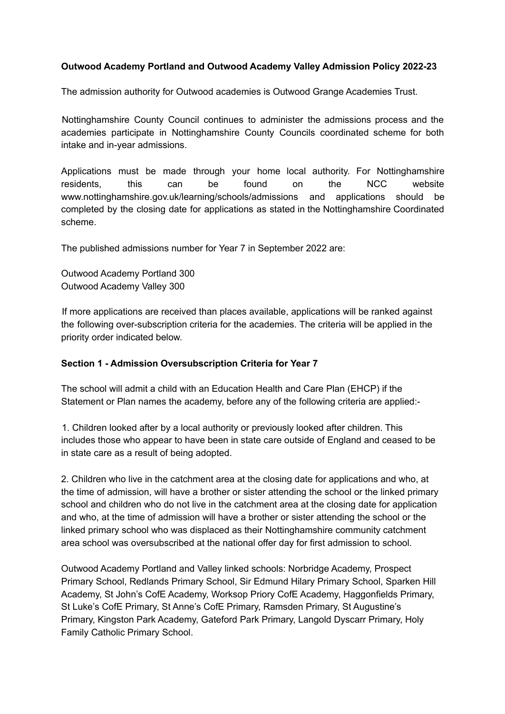## **Outwood Academy Portland and Outwood Academy Valley Admission Policy 2022-23**

The admission authority for Outwood academies is Outwood Grange Academies Trust.

Nottinghamshire County Council continues to administer the admissions process and the academies participate in Nottinghamshire County Councils coordinated scheme for both intake and in-year admissions.

Applications must be made through your home local authority. For Nottinghamshire residents, this can be found on the NCC website www.nottinghamshire.gov.uk/learning/schools/admissions and applications should be completed by the closing date for applications as stated in the Nottinghamshire Coordinated scheme.

The published admissions number for Year 7 in September 2022 are:

Outwood Academy Portland 300 Outwood Academy Valley 300

If more applications are received than places available, applications will be ranked against the following over-subscription criteria for the academies. The criteria will be applied in the priority order indicated below.

#### **Section 1 - Admission Oversubscription Criteria for Year 7**

The school will admit a child with an Education Health and Care Plan (EHCP) if the Statement or Plan names the academy, before any of the following criteria are applied:-

1. Children looked after by a local authority or previously looked after children. This includes those who appear to have been in state care outside of England and ceased to be in state care as a result of being adopted.

2. Children who live in the catchment area at the closing date for applications and who, at the time of admission, will have a brother or sister attending the school or the linked primary school and children who do not live in the catchment area at the closing date for application and who, at the time of admission will have a brother or sister attending the school or the linked primary school who was displaced as their Nottinghamshire community catchment area school was oversubscribed at the national offer day for first admission to school.

Outwood Academy Portland and Valley linked schools: Norbridge Academy, Prospect Primary School, Redlands Primary School, Sir Edmund Hilary Primary School, Sparken Hill Academy, St John's CofE Academy, Worksop Priory CofE Academy, Haggonfields Primary, St Luke's CofE Primary, St Anne's CofE Primary, Ramsden Primary, St Augustine's Primary, Kingston Park Academy, Gateford Park Primary, Langold Dyscarr Primary, Holy Family Catholic Primary School.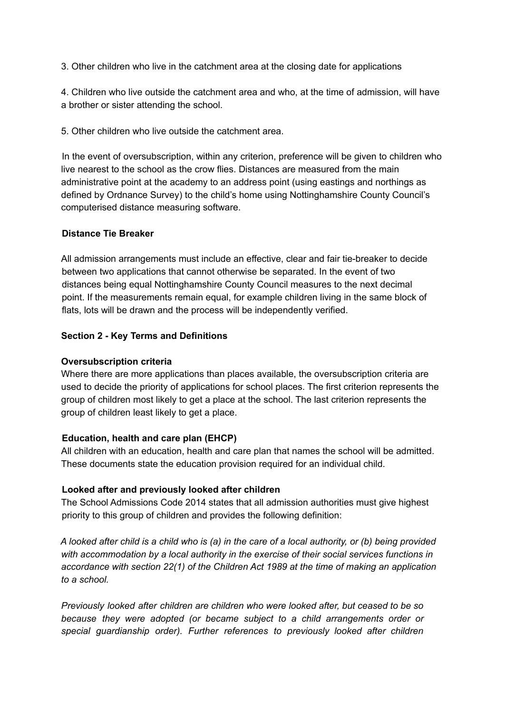3. Other children who live in the catchment area at the closing date for applications

4. Children who live outside the catchment area and who, at the time of admission, will have a brother or sister attending the school.

5. Other children who live outside the catchment area.

In the event of oversubscription, within any criterion, preference will be given to children who live nearest to the school as the crow flies. Distances are measured from the main administrative point at the academy to an address point (using eastings and northings as defined by Ordnance Survey) to the child's home using Nottinghamshire County Council's computerised distance measuring software.

### **Distance Tie Breaker**

All admission arrangements must include an effective, clear and fair tie-breaker to decide between two applications that cannot otherwise be separated. In the event of two distances being equal Nottinghamshire County Council measures to the next decimal point. If the measurements remain equal, for example children living in the same block of flats, lots will be drawn and the process will be independently verified.

### **Section 2 - Key Terms and Definitions**

#### **Oversubscription criteria**

Where there are more applications than places available, the oversubscription criteria are used to decide the priority of applications for school places. The first criterion represents the group of children most likely to get a place at the school. The last criterion represents the group of children least likely to get a place.

#### **Education, health and care plan (EHCP)**

All children with an education, health and care plan that names the school will be admitted. These documents state the education provision required for an individual child.

# **Looked after and previously looked after children**

The School Admissions Code 2014 states that all admission authorities must give highest priority to this group of children and provides the following definition:

A looked after child is a child who is (a) in the care of a local authority, or (b) being provided *with accommodation by a local authority in the exercise of their social services functions in accordance with section 22(1) of the Children Act 1989 at the time of making an application to a school.*

*Previously looked after children are children who were looked after, but ceased to be so because they were adopted (or became subject to a child arrangements order or special guardianship order). Further references to previously looked after children*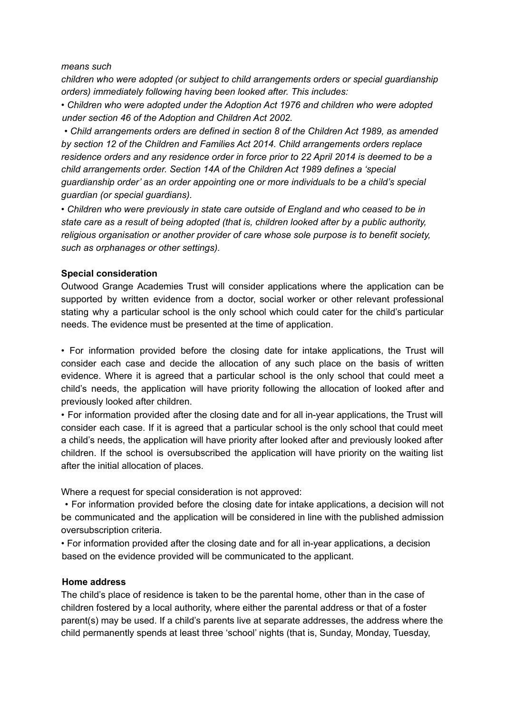#### *means such*

*children who were adopted (or subject to child arrangements orders or special guardianship orders) immediately following having been looked after. This includes:*

*• Children who were adopted under the Adoption Act 1976 and children who were adopted under section 46 of the Adoption and Children Act 2002.*

*• Child arrangements orders are defined in section 8 of the Children Act 1989, as amended by section 12 of the Children and Families Act 2014. Child arrangements orders replace residence orders and any residence order in force prior to 22 April 2014 is deemed to be a child arrangements order. Section 14A of the Children Act 1989 defines a 'special guardianship order' as an order appointing one or more individuals to be a child's special guardian (or special guardians).*

*• Children who were previously in state care outside of England and who ceased to be in state care as a result of being adopted (that is, children looked after by a public authority, religious organisation or another provider of care whose sole purpose is to benefit society, such as orphanages or other settings).*

#### **Special consideration**

Outwood Grange Academies Trust will consider applications where the application can be supported by written evidence from a doctor, social worker or other relevant professional stating why a particular school is the only school which could cater for the child's particular needs. The evidence must be presented at the time of application.

• For information provided before the closing date for intake applications, the Trust will consider each case and decide the allocation of any such place on the basis of written evidence. Where it is agreed that a particular school is the only school that could meet a child's needs, the application will have priority following the allocation of looked after and previously looked after children.

• For information provided after the closing date and for all in-year applications, the Trust will consider each case. If it is agreed that a particular school is the only school that could meet a child's needs, the application will have priority after looked after and previously looked after children. If the school is oversubscribed the application will have priority on the waiting list after the initial allocation of places.

Where a request for special consideration is not approved:

• For information provided before the closing date for intake applications, a decision will not be communicated and the application will be considered in line with the published admission oversubscription criteria.

• For information provided after the closing date and for all in-year applications, a decision based on the evidence provided will be communicated to the applicant.

#### **Home address**

The child's place of residence is taken to be the parental home, other than in the case of children fostered by a local authority, where either the parental address or that of a foster parent(s) may be used. If a child's parents live at separate addresses, the address where the child permanently spends at least three 'school' nights (that is, Sunday, Monday, Tuesday,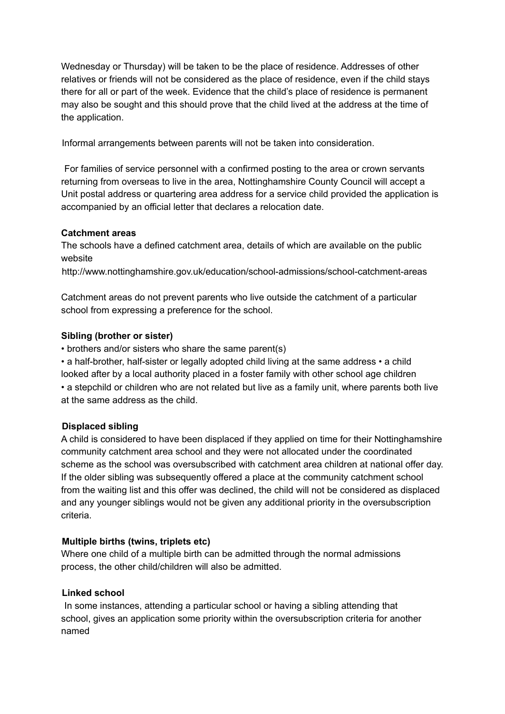Wednesday or Thursday) will be taken to be the place of residence. Addresses of other relatives or friends will not be considered as the place of residence, even if the child stays there for all or part of the week. Evidence that the child's place of residence is permanent may also be sought and this should prove that the child lived at the address at the time of the application.

Informal arrangements between parents will not be taken into consideration.

For families of service personnel with a confirmed posting to the area or crown servants returning from overseas to live in the area, Nottinghamshire County Council will accept a Unit postal address or quartering area address for a service child provided the application is accompanied by an official letter that declares a relocation date.

# **Catchment areas**

The schools have a defined catchment area, details of which are available on the public website

http://www.nottinghamshire.gov.uk/education/school-admissions/school-catchment-areas

Catchment areas do not prevent parents who live outside the catchment of a particular school from expressing a preference for the school.

# **Sibling (brother or sister)**

• brothers and/or sisters who share the same parent(s)

• a half-brother, half-sister or legally adopted child living at the same address • a child looked after by a local authority placed in a foster family with other school age children • a stepchild or children who are not related but live as a family unit, where parents both live at the same address as the child.

# **Displaced sibling**

A child is considered to have been displaced if they applied on time for their Nottinghamshire community catchment area school and they were not allocated under the coordinated scheme as the school was oversubscribed with catchment area children at national offer day. If the older sibling was subsequently offered a place at the community catchment school from the waiting list and this offer was declined, the child will not be considered as displaced and any younger siblings would not be given any additional priority in the oversubscription criteria.

# **Multiple births (twins, triplets etc)**

Where one child of a multiple birth can be admitted through the normal admissions process, the other child/children will also be admitted.

# **Linked school**

In some instances, attending a particular school or having a sibling attending that school, gives an application some priority within the oversubscription criteria for another named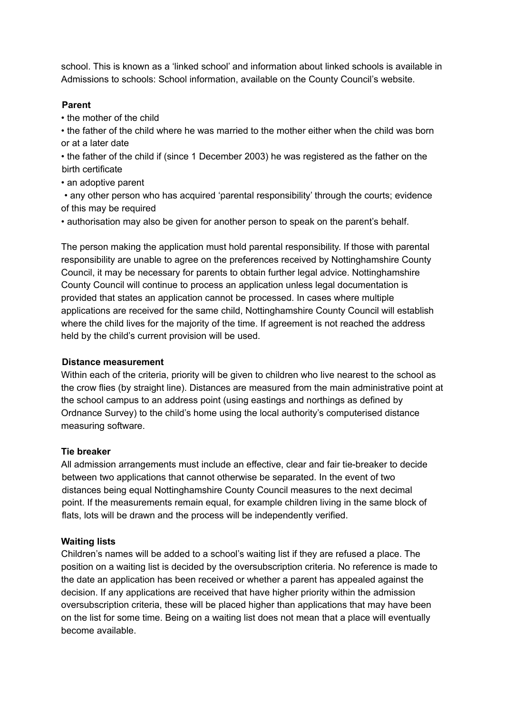school. This is known as a 'linked school' and information about linked schools is available in Admissions to schools: School information, available on the County Council's website.

### **Parent**

• the mother of the child

• the father of the child where he was married to the mother either when the child was born or at a later date

• the father of the child if (since 1 December 2003) he was registered as the father on the birth certificate

• an adoptive parent

• any other person who has acquired 'parental responsibility' through the courts; evidence of this may be required

• authorisation may also be given for another person to speak on the parent's behalf.

The person making the application must hold parental responsibility. If those with parental responsibility are unable to agree on the preferences received by Nottinghamshire County Council, it may be necessary for parents to obtain further legal advice. Nottinghamshire County Council will continue to process an application unless legal documentation is provided that states an application cannot be processed. In cases where multiple applications are received for the same child, Nottinghamshire County Council will establish where the child lives for the majority of the time. If agreement is not reached the address held by the child's current provision will be used.

## **Distance measurement**

Within each of the criteria, priority will be given to children who live nearest to the school as the crow flies (by straight line). Distances are measured from the main administrative point at the school campus to an address point (using eastings and northings as defined by Ordnance Survey) to the child's home using the local authority's computerised distance measuring software.

# **Tie breaker**

All admission arrangements must include an effective, clear and fair tie-breaker to decide between two applications that cannot otherwise be separated. In the event of two distances being equal Nottinghamshire County Council measures to the next decimal point. If the measurements remain equal, for example children living in the same block of flats, lots will be drawn and the process will be independently verified.

#### **Waiting lists**

Children's names will be added to a school's waiting list if they are refused a place. The position on a waiting list is decided by the oversubscription criteria. No reference is made to the date an application has been received or whether a parent has appealed against the decision. If any applications are received that have higher priority within the admission oversubscription criteria, these will be placed higher than applications that may have been on the list for some time. Being on a waiting list does not mean that a place will eventually become available.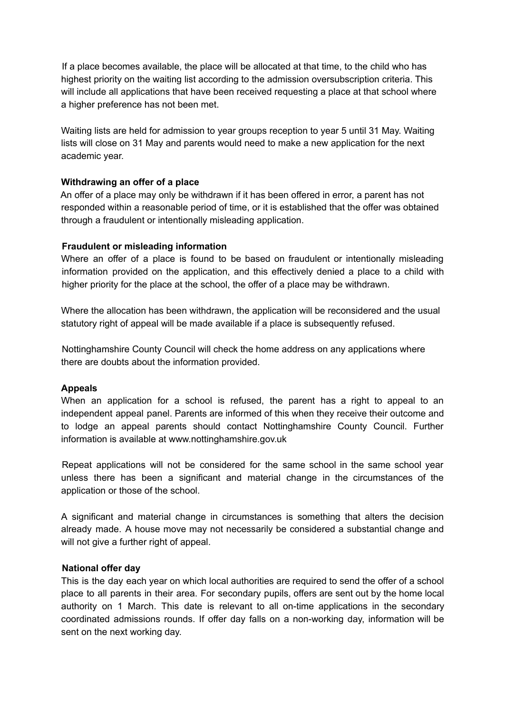If a place becomes available, the place will be allocated at that time, to the child who has highest priority on the waiting list according to the admission oversubscription criteria. This will include all applications that have been received requesting a place at that school where a higher preference has not been met.

Waiting lists are held for admission to year groups reception to year 5 until 31 May. Waiting lists will close on 31 May and parents would need to make a new application for the next academic year.

### **Withdrawing an offer of a place**

An offer of a place may only be withdrawn if it has been offered in error, a parent has not responded within a reasonable period of time, or it is established that the offer was obtained through a fraudulent or intentionally misleading application.

### **Fraudulent or misleading information**

Where an offer of a place is found to be based on fraudulent or intentionally misleading information provided on the application, and this effectively denied a place to a child with higher priority for the place at the school, the offer of a place may be withdrawn.

Where the allocation has been withdrawn, the application will be reconsidered and the usual statutory right of appeal will be made available if a place is subsequently refused.

Nottinghamshire County Council will check the home address on any applications where there are doubts about the information provided.

#### **Appeals**

When an application for a school is refused, the parent has a right to appeal to an independent appeal panel. Parents are informed of this when they receive their outcome and to lodge an appeal parents should contact Nottinghamshire County Council. Further information is available at www.nottinghamshire.gov.uk

Repeat applications will not be considered for the same school in the same school year unless there has been a significant and material change in the circumstances of the application or those of the school.

A significant and material change in circumstances is something that alters the decision already made. A house move may not necessarily be considered a substantial change and will not give a further right of appeal.

#### **National offer day**

This is the day each year on which local authorities are required to send the offer of a school place to all parents in their area. For secondary pupils, offers are sent out by the home local authority on 1 March. This date is relevant to all on-time applications in the secondary coordinated admissions rounds. If offer day falls on a non-working day, information will be sent on the next working day.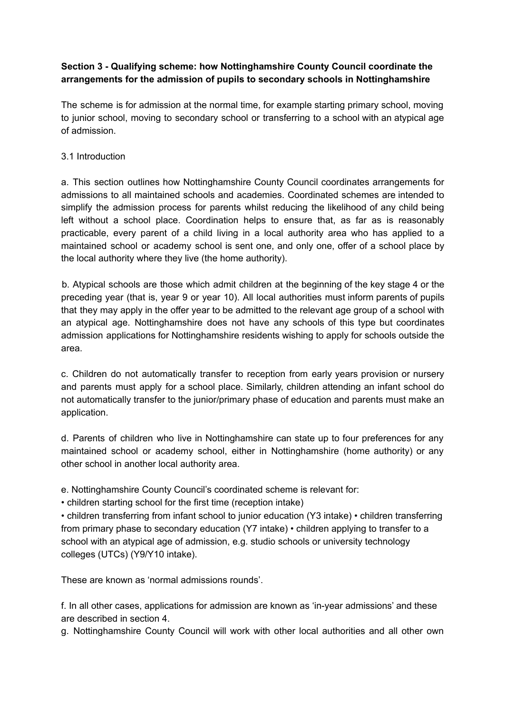# **Section 3 - Qualifying scheme: how Nottinghamshire County Council coordinate the arrangements for the admission of pupils to secondary schools in Nottinghamshire**

The scheme is for admission at the normal time, for example starting primary school, moving to junior school, moving to secondary school or transferring to a school with an atypical age of admission.

# 3.1 Introduction

a. This section outlines how Nottinghamshire County Council coordinates arrangements for admissions to all maintained schools and academies. Coordinated schemes are intended to simplify the admission process for parents whilst reducing the likelihood of any child being left without a school place. Coordination helps to ensure that, as far as is reasonably practicable, every parent of a child living in a local authority area who has applied to a maintained school or academy school is sent one, and only one, offer of a school place by the local authority where they live (the home authority).

b. Atypical schools are those which admit children at the beginning of the key stage 4 or the preceding year (that is, year 9 or year 10). All local authorities must inform parents of pupils that they may apply in the offer year to be admitted to the relevant age group of a school with an atypical age. Nottinghamshire does not have any schools of this type but coordinates admission applications for Nottinghamshire residents wishing to apply for schools outside the area.

c. Children do not automatically transfer to reception from early years provision or nursery and parents must apply for a school place. Similarly, children attending an infant school do not automatically transfer to the junior/primary phase of education and parents must make an application.

d. Parents of children who live in Nottinghamshire can state up to four preferences for any maintained school or academy school, either in Nottinghamshire (home authority) or any other school in another local authority area.

e. Nottinghamshire County Council's coordinated scheme is relevant for:

• children starting school for the first time (reception intake)

• children transferring from infant school to junior education (Y3 intake) • children transferring from primary phase to secondary education (Y7 intake) • children applying to transfer to a school with an atypical age of admission, e.g. studio schools or university technology colleges (UTCs) (Y9/Y10 intake).

These are known as 'normal admissions rounds'.

f. In all other cases, applications for admission are known as 'in-year admissions' and these are described in section 4.

g. Nottinghamshire County Council will work with other local authorities and all other own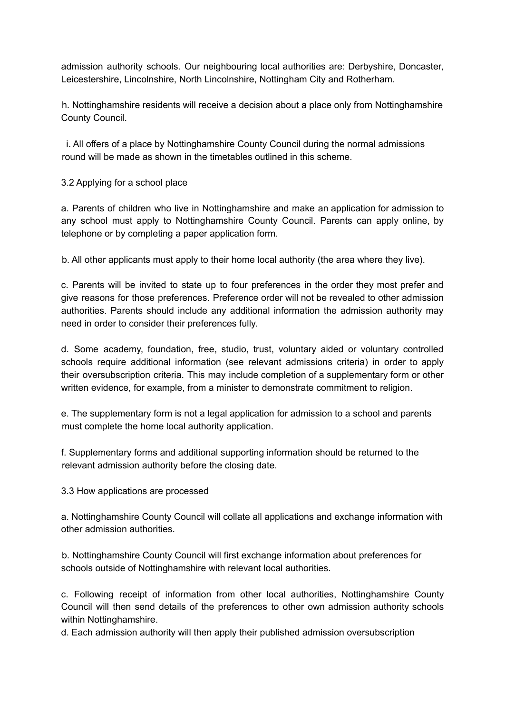admission authority schools. Our neighbouring local authorities are: Derbyshire, Doncaster, Leicestershire, Lincolnshire, North Lincolnshire, Nottingham City and Rotherham.

h. Nottinghamshire residents will receive a decision about a place only from Nottinghamshire County Council.

i. All offers of a place by Nottinghamshire County Council during the normal admissions round will be made as shown in the timetables outlined in this scheme.

## 3.2 Applying for a school place

a. Parents of children who live in Nottinghamshire and make an application for admission to any school must apply to Nottinghamshire County Council. Parents can apply online, by telephone or by completing a paper application form.

b. All other applicants must apply to their home local authority (the area where they live).

c. Parents will be invited to state up to four preferences in the order they most prefer and give reasons for those preferences. Preference order will not be revealed to other admission authorities. Parents should include any additional information the admission authority may need in order to consider their preferences fully.

d. Some academy, foundation, free, studio, trust, voluntary aided or voluntary controlled schools require additional information (see relevant admissions criteria) in order to apply their oversubscription criteria. This may include completion of a supplementary form or other written evidence, for example, from a minister to demonstrate commitment to religion.

e. The supplementary form is not a legal application for admission to a school and parents must complete the home local authority application.

f. Supplementary forms and additional supporting information should be returned to the relevant admission authority before the closing date.

3.3 How applications are processed

a. Nottinghamshire County Council will collate all applications and exchange information with other admission authorities.

b. Nottinghamshire County Council will first exchange information about preferences for schools outside of Nottinghamshire with relevant local authorities.

c. Following receipt of information from other local authorities, Nottinghamshire County Council will then send details of the preferences to other own admission authority schools within Nottinghamshire.

d. Each admission authority will then apply their published admission oversubscription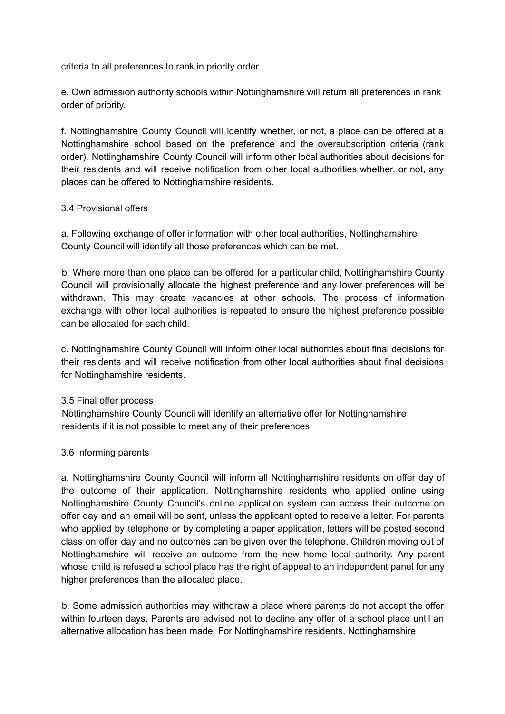criteria to all preferences to rank in priority order.

e. Own admission authority schools within Nottinghamshire will return all preferences in rank order of priority.

f. Nottinghamshire County Council will identify whether, or not, a place can be offered at a Nottinghamshire school based on the preference and the oversubscription criteria (rank order). Nottinghamshire County Council will inform other local authorities about decisions for their residents and will receive notification from other local authorities whether, or not, any places can be offered to Nottinghamshire residents.

### 3.4 Provisional offers

a. Following exchange of offer information with other local authorities, Nottinghamshire County Council will identify all those preferences which can be met.

b. Where more than one place can be offered for a particular child, Nottinghamshire County Council will provisionally allocate the highest preference and any lower preferences will be withdrawn. This may create vacancies at other schools. The process of information exchange with other local authorities is repeated to ensure the highest preference possible can be allocated for each child.

c. Nottinghamshire County Council will inform other local authorities about final decisions for their residents and will receive notification from other local authorities about final decisions for Nottinghamshire residents.

# 3.5 Final offer process

Nottinghamshire County Council will identify an alternative offer for Nottinghamshire residents if it is not possible to meet any of their preferences.

# 3.6 Informing parents

a. Nottinghamshire County Council will inform all Nottinghamshire residents on offer day of the outcome of their application. Nottinghamshire residents who applied online using Nottinghamshire County Council's online application system can access their outcome on offer day and an email will be sent, unless the applicant opted to receive a letter. For parents who applied by telephone or by completing a paper application, letters will be posted second class on offer day and no outcomes can be given over the telephone. Children moving out of Nottinghamshire will receive an outcome from the new home local authority. Any parent whose child is refused a school place has the right of appeal to an independent panel for any higher preferences than the allocated place.

b. Some admission authorities may withdraw a place where parents do not accept the offer within fourteen days. Parents are advised not to decline any offer of a school place until an alternative allocation has been made. For Nottinghamshire residents, Nottinghamshire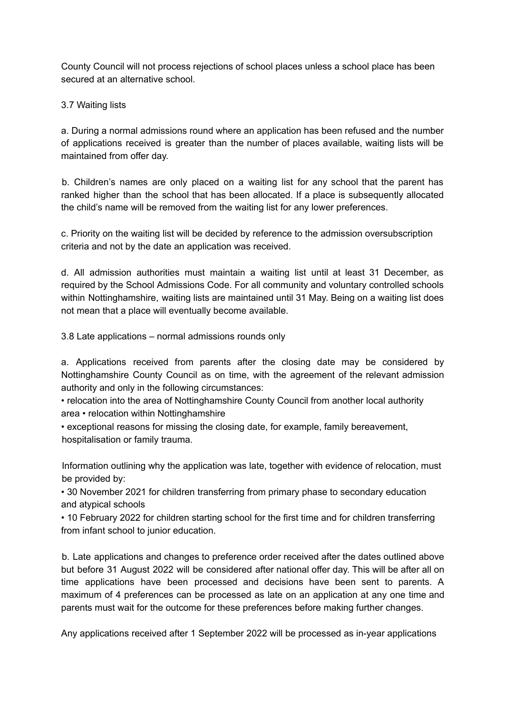County Council will not process rejections of school places unless a school place has been secured at an alternative school.

3.7 Waiting lists

a. During a normal admissions round where an application has been refused and the number of applications received is greater than the number of places available, waiting lists will be maintained from offer day.

b. Children's names are only placed on a waiting list for any school that the parent has ranked higher than the school that has been allocated. If a place is subsequently allocated the child's name will be removed from the waiting list for any lower preferences.

c. Priority on the waiting list will be decided by reference to the admission oversubscription criteria and not by the date an application was received.

d. All admission authorities must maintain a waiting list until at least 31 December, as required by the School Admissions Code. For all community and voluntary controlled schools within Nottinghamshire, waiting lists are maintained until 31 May. Being on a waiting list does not mean that a place will eventually become available.

3.8 Late applications – normal admissions rounds only

a. Applications received from parents after the closing date may be considered by Nottinghamshire County Council as on time, with the agreement of the relevant admission authority and only in the following circumstances:

• relocation into the area of Nottinghamshire County Council from another local authority area • relocation within Nottinghamshire

• exceptional reasons for missing the closing date, for example, family bereavement, hospitalisation or family trauma.

Information outlining why the application was late, together with evidence of relocation, must be provided by:

• 30 November 2021 for children transferring from primary phase to secondary education and atypical schools

• 10 February 2022 for children starting school for the first time and for children transferring from infant school to junior education.

b. Late applications and changes to preference order received after the dates outlined above but before 31 August 2022 will be considered after national offer day. This will be after all on time applications have been processed and decisions have been sent to parents. A maximum of 4 preferences can be processed as late on an application at any one time and parents must wait for the outcome for these preferences before making further changes.

Any applications received after 1 September 2022 will be processed as in-year applications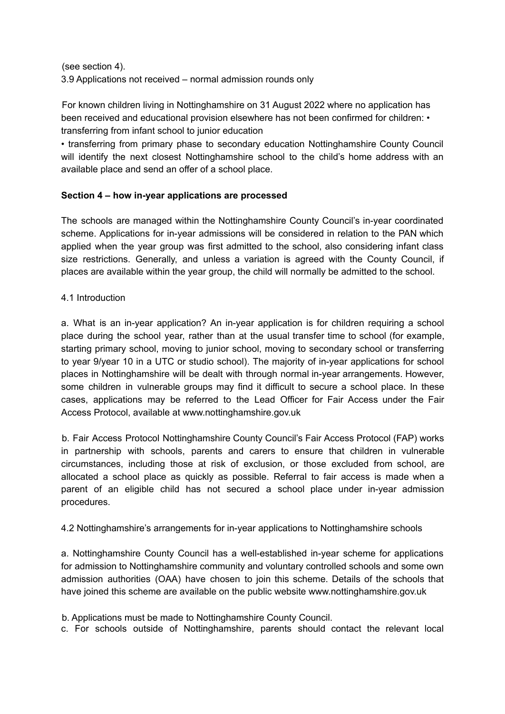(see section 4).

3.9 Applications not received – normal admission rounds only

For known children living in Nottinghamshire on 31 August 2022 where no application has been received and educational provision elsewhere has not been confirmed for children: • transferring from infant school to junior education

• transferring from primary phase to secondary education Nottinghamshire County Council will identify the next closest Nottinghamshire school to the child's home address with an available place and send an offer of a school place.

### **Section 4 – how in-year applications are processed**

The schools are managed within the Nottinghamshire County Council's in-year coordinated scheme. Applications for in-year admissions will be considered in relation to the PAN which applied when the year group was first admitted to the school, also considering infant class size restrictions. Generally, and unless a variation is agreed with the County Council, if places are available within the year group, the child will normally be admitted to the school.

#### 4.1 Introduction

a. What is an in-year application? An in-year application is for children requiring a school place during the school year, rather than at the usual transfer time to school (for example, starting primary school, moving to junior school, moving to secondary school or transferring to year 9/year 10 in a UTC or studio school). The majority of in-year applications for school places in Nottinghamshire will be dealt with through normal in-year arrangements. However, some children in vulnerable groups may find it difficult to secure a school place. In these cases, applications may be referred to the Lead Officer for Fair Access under the Fair Access Protocol, available at www.nottinghamshire.gov.uk

b. Fair Access Protocol Nottinghamshire County Council's Fair Access Protocol (FAP) works in partnership with schools, parents and carers to ensure that children in vulnerable circumstances, including those at risk of exclusion, or those excluded from school, are allocated a school place as quickly as possible. Referral to fair access is made when a parent of an eligible child has not secured a school place under in-year admission procedures.

#### 4.2 Nottinghamshire's arrangements for in-year applications to Nottinghamshire schools

a. Nottinghamshire County Council has a well-established in-year scheme for applications for admission to Nottinghamshire community and voluntary controlled schools and some own admission authorities (OAA) have chosen to join this scheme. Details of the schools that have joined this scheme are available on the public website www.nottinghamshire.gov.uk

b. Applications must be made to Nottinghamshire County Council.

c. For schools outside of Nottinghamshire, parents should contact the relevant local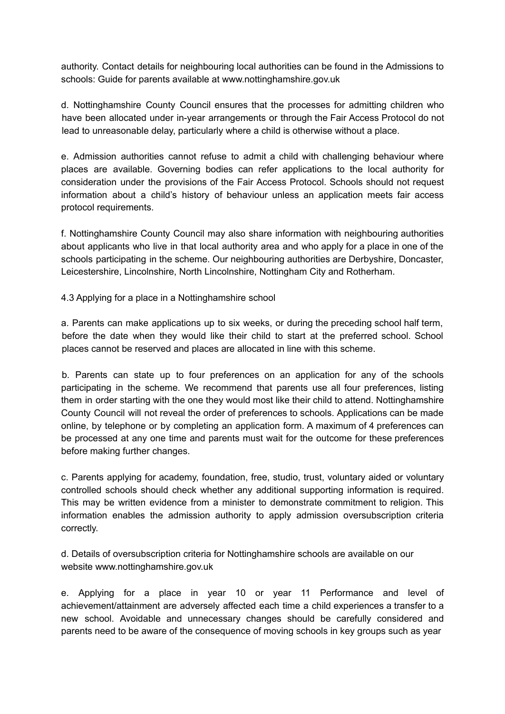authority. Contact details for neighbouring local authorities can be found in the Admissions to schools: Guide for parents available at www.nottinghamshire.gov.uk

d. Nottinghamshire County Council ensures that the processes for admitting children who have been allocated under in-year arrangements or through the Fair Access Protocol do not lead to unreasonable delay, particularly where a child is otherwise without a place.

e. Admission authorities cannot refuse to admit a child with challenging behaviour where places are available. Governing bodies can refer applications to the local authority for consideration under the provisions of the Fair Access Protocol. Schools should not request information about a child's history of behaviour unless an application meets fair access protocol requirements.

f. Nottinghamshire County Council may also share information with neighbouring authorities about applicants who live in that local authority area and who apply for a place in one of the schools participating in the scheme. Our neighbouring authorities are Derbyshire, Doncaster, Leicestershire, Lincolnshire, North Lincolnshire, Nottingham City and Rotherham.

4.3 Applying for a place in a Nottinghamshire school

a. Parents can make applications up to six weeks, or during the preceding school half term, before the date when they would like their child to start at the preferred school. School places cannot be reserved and places are allocated in line with this scheme.

b. Parents can state up to four preferences on an application for any of the schools participating in the scheme. We recommend that parents use all four preferences, listing them in order starting with the one they would most like their child to attend. Nottinghamshire County Council will not reveal the order of preferences to schools. Applications can be made online, by telephone or by completing an application form. A maximum of 4 preferences can be processed at any one time and parents must wait for the outcome for these preferences before making further changes.

c. Parents applying for academy, foundation, free, studio, trust, voluntary aided or voluntary controlled schools should check whether any additional supporting information is required. This may be written evidence from a minister to demonstrate commitment to religion. This information enables the admission authority to apply admission oversubscription criteria correctly.

d. Details of oversubscription criteria for Nottinghamshire schools are available on our website www.nottinghamshire.gov.uk

e. Applying for a place in year 10 or year 11 Performance and level of achievement/attainment are adversely affected each time a child experiences a transfer to a new school. Avoidable and unnecessary changes should be carefully considered and parents need to be aware of the consequence of moving schools in key groups such as year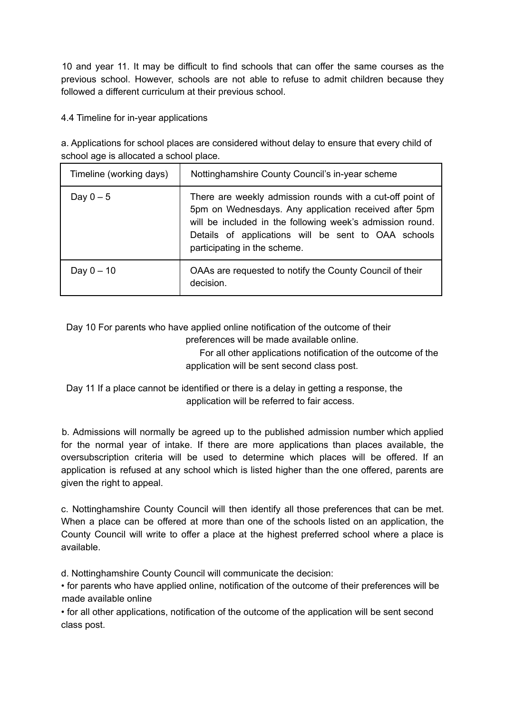10 and year 11. It may be difficult to find schools that can offer the same courses as the previous school. However, schools are not able to refuse to admit children because they followed a different curriculum at their previous school.

4.4 Timeline for in-year applications

a. Applications for school places are considered without delay to ensure that every child of school age is allocated a school place.

| Timeline (working days) | Nottinghamshire County Council's in-year scheme                                                                                                                                                                                                                        |
|-------------------------|------------------------------------------------------------------------------------------------------------------------------------------------------------------------------------------------------------------------------------------------------------------------|
| Day $0-5$               | There are weekly admission rounds with a cut-off point of<br>5pm on Wednesdays. Any application received after 5pm<br>will be included in the following week's admission round.<br>Details of applications will be sent to OAA schools<br>participating in the scheme. |
| Day $0 - 10$            | OAAs are requested to notify the County Council of their<br>decision.                                                                                                                                                                                                  |

Day 10 For parents who have applied online notification of the outcome of their preferences will be made available online.

> For all other applications notification of the outcome of the application will be sent second class post.

Day 11 If a place cannot be identified or there is a delay in getting a response, the application will be referred to fair access.

b. Admissions will normally be agreed up to the published admission number which applied for the normal year of intake. If there are more applications than places available, the oversubscription criteria will be used to determine which places will be offered. If an application is refused at any school which is listed higher than the one offered, parents are given the right to appeal.

c. Nottinghamshire County Council will then identify all those preferences that can be met. When a place can be offered at more than one of the schools listed on an application, the County Council will write to offer a place at the highest preferred school where a place is available.

d. Nottinghamshire County Council will communicate the decision:

• for parents who have applied online, notification of the outcome of their preferences will be made available online

• for all other applications, notification of the outcome of the application will be sent second class post.